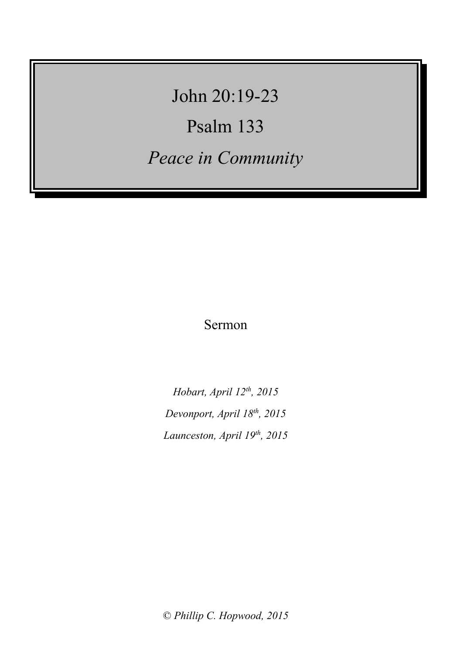John 20:19-23 Psalm 133 *Peace in Community*

## Sermon

*Hobart, April 12th , 2015 Devonport, April 18th , 2015 Launceston, April 19th, 2015*

© *Phillip C. Hopwood, 2015*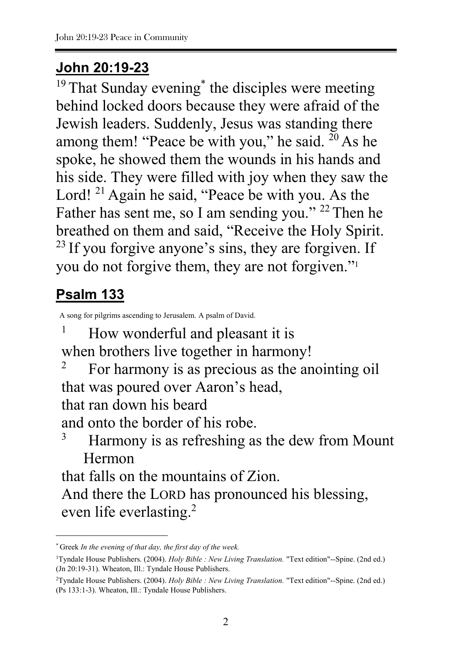# **John 20:19-23**

<sup>19</sup> That Sunday evening<sup>\*</sup> the disciples were meeting behind locked doors because they were afraid of the Jewish leaders. Suddenly, Jesus was standing there among them! "Peace be with you," he said.  $20$  As he spoke, he showed them the wounds in his hands and his side. They were filled with joy when they saw the Lord!<sup>21</sup> Again he said, "Peace be with you. As the Father has sent me, so I am sending you."  $22$  Then he breathed on them and said, "Receive the Holy Spirit.  $23$  If you forgive anyone's sins, they are forgiven. If you do not forgive them, they are not forgiven."<sup>1</sup>

# **Psalm 133**

-

A song for pilgrims ascending to Jerusalem. A psalm of David.

1 How wonderful and pleasant it is when brothers live together in harmony!

2 For harmony is as precious as the anointing oil that was poured over Aaron's head,

that ran down his beard

and onto the border of his robe.

3 Harmony is as refreshing as the dew from Mount Hermon

that falls on the mountains of Zion.

And there the LORD has pronounced his blessing, even life everlasting.<sup>2</sup>

<sup>\*</sup> Greek *In the evening of that day, the first day of the week.*

<sup>1</sup>Tyndale House Publishers. (2004). *Holy Bible : New Living Translation.* "Text edition"--Spine. (2nd ed.) (Jn 20:19-31). Wheaton, Ill.: Tyndale House Publishers.

<sup>2</sup>Tyndale House Publishers. (2004). *Holy Bible : New Living Translation.* "Text edition"--Spine. (2nd ed.) (Ps 133:1-3). Wheaton, Ill.: Tyndale House Publishers.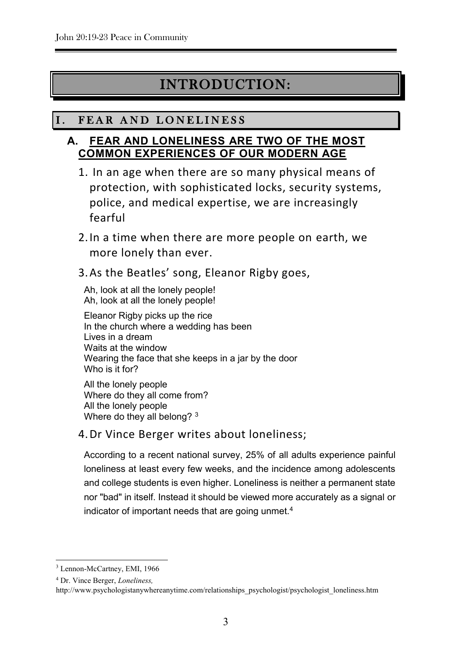## INTRODUCTION:

#### FEAR AND LONELINESS

#### **A. FEAR AND LONELINESS ARE TWO OF THE MOST COMMON EXPERIENCES OF OUR MODERN AGE**

- 1. In an age when there are so many physical means of protection, with sophisticated locks, security systems, police, and medical expertise, we are increasingly fearful
- 2.In a time when there are more people on earth, we more lonely than ever.
- 3.As the Beatles' song, Eleanor Rigby goes,

Ah, look at all the lonely people! Ah, look at all the lonely people!

Eleanor Rigby picks up the rice In the church where a wedding has been Lives in a dream Waits at the window Wearing the face that she keeps in a jar by the door Who is it for?

All the lonely people Where do they all come from? All the lonely people Where do they all belong? <sup>3</sup>

#### 4.Dr Vince Berger writes about loneliness;

According to a recent national survey, 25% of all adults experience painful loneliness at least every few weeks, and the incidence among adolescents and college students is even higher. Loneliness is neither a permanent state nor "bad" in itself. Instead it should be viewed more accurately as a signal or indicator of important needs that are going unmet.<sup>4</sup>

<sup>3</sup> Lennon-McCartney, EMI, 1966

<sup>4</sup> Dr. Vince Berger, *Loneliness,* 

http://www.psychologistanywhereanytime.com/relationships\_psychologist/psychologist\_loneliness.htm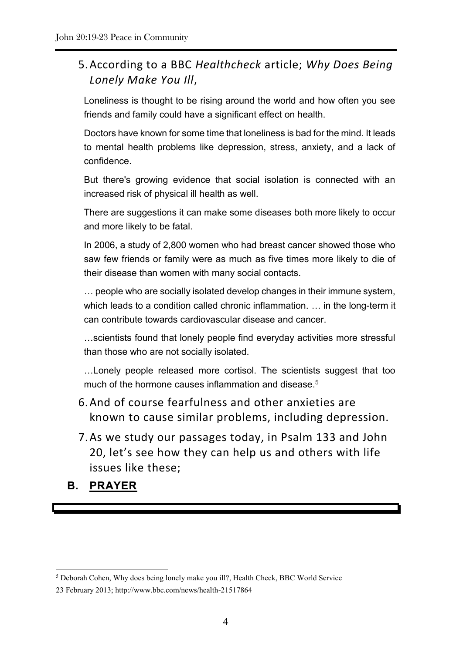## 5.According to a BBC *Healthcheck* article; *Why Does Being Lonely Make You Ill*,

Loneliness is thought to be rising around the world and how often you see friends and family could have a significant effect on health.

Doctors have known for some time that loneliness is bad for the mind. It leads to mental health problems like depression, stress, anxiety, and a lack of confidence.

But there's growing evidence that social isolation is connected with an increased risk of physical ill health as well.

There are suggestions it can make some diseases both more likely to occur and more likely to be fatal.

In 2006, a study of 2,800 women who had breast cancer showed those who saw few friends or family were as much as five times more likely to die of their disease than women with many social contacts.

… people who are socially isolated develop changes in their immune system, which leads to a condition called chronic inflammation. … in the long-term it can contribute towards cardiovascular disease and cancer.

…scientists found that lonely people find everyday activities more stressful than those who are not socially isolated.

…Lonely people released more cortisol. The scientists suggest that too much of the hormone causes inflammation and disease.<sup>5</sup>

- 6.And of course fearfulness and other anxieties are known to cause similar problems, including depression.
- 7.As we study our passages today, in Psalm 133 and John 20, let's see how they can help us and others with life issues like these;
- **B. PRAYER**

<sup>5</sup> Deborah Cohen, Why does being lonely make you ill?, Health Check, BBC World Service

<sup>23</sup> February 2013; http://www.bbc.com/news/health-21517864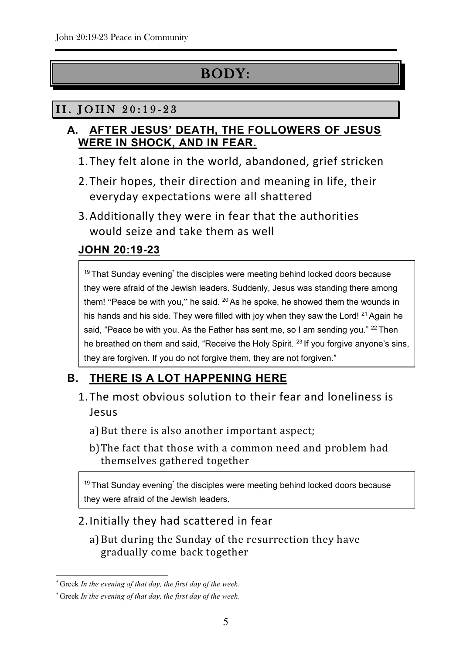## BODY:

## II. JOHN 20:19-23

#### **A. AFTER JESUS' DEATH, THE FOLLOWERS OF JESUS WERE IN SHOCK, AND IN FEAR.**

- 1.They felt alone in the world, abandoned, grief stricken
- 2.Their hopes, their direction and meaning in life, their everyday expectations were all shattered
- 3.Additionally they were in fear that the authorities would seize and take them as well

## **JOHN 20:19-23**

<sup>19</sup> That Sunday evening<sup>\*</sup> the disciples were meeting behind locked doors because they were afraid of the Jewish leaders. Suddenly, Jesus was standing there among them! "Peace be with you," he said.  $20$  As he spoke, he showed them the wounds in his hands and his side. They were filled with joy when they saw the Lord! <sup>21</sup> Again he said, "Peace be with you. As the Father has sent me, so I am sending you." <sup>22</sup> Then he breathed on them and said, "Receive the Holy Spirit.<sup>23</sup> If you forgive anyone's sins, they are forgiven. If you do not forgive them, they are not forgiven."

## **B. THERE IS A LOT HAPPENING HERE**

- 1.The most obvious solution to their fear and loneliness is Jesus
	- a)But there is also another important aspect;
	- b)The fact that those with a common need and problem had themselves gathered together

 $19$  That Sunday evening\* the disciples were meeting behind locked doors because they were afraid of the Jewish leaders.

## 2.Initially they had scattered in fear

a)But during the Sunday of the resurrection they have gradually come back together

<sup>\*</sup> Greek *In the evening of that day, the first day of the week.*

<sup>\*</sup> Greek *In the evening of that day, the first day of the week.*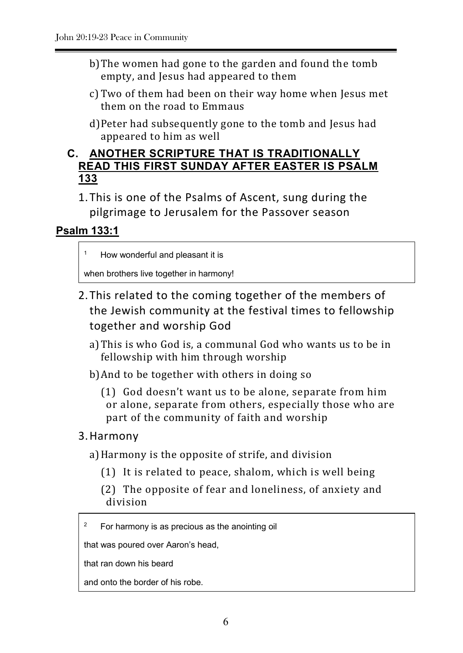- b)The women had gone to the garden and found the tomb empty, and Jesus had appeared to them
- c) Two of them had been on their way home when Jesus met them on the road to Emmaus
- d)Peter had subsequently gone to the tomb and Jesus had appeared to him as well

### **C. ANOTHER SCRIPTURE THAT IS TRADITIONALLY READ THIS FIRST SUNDAY AFTER EASTER IS PSALM 133**

1.This is one of the Psalms of Ascent, sung during the pilgrimage to Jerusalem for the Passover season

### **Psalm 133:1**

1 How wonderful and pleasant it is

when brothers live together in harmony!

- 2.This related to the coming together of the members of the Jewish community at the festival times to fellowship together and worship God
	- a)This is who God is, a communal God who wants us to be in fellowship with him through worship
	- b)And to be together with others in doing so
		- (1) God doesn't want us to be alone, separate from him or alone, separate from others, especially those who are part of the community of faith and worship

#### 3.Harmony

a)Harmony is the opposite of strife, and division

- (1) It is related to peace, shalom, which is well being
- (2) The opposite of fear and loneliness, of anxiety and division
- 2 For harmony is as precious as the anointing oil

that was poured over Aaron's head,

that ran down his beard

and onto the border of his robe.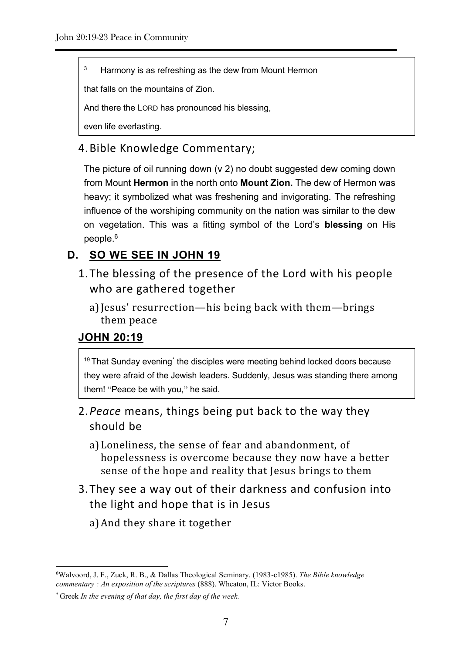3 Harmony is as refreshing as the dew from Mount Hermon

that falls on the mountains of Zion.

And there the LORD has pronounced his blessing,

even life everlasting.

### 4.Bible Knowledge Commentary;

The picture of oil running down (v 2) no doubt suggested dew coming down from Mount **Hermon** in the north onto **Mount Zion.** The dew of Hermon was heavy; it symbolized what was freshening and invigorating. The refreshing influence of the worshiping community on the nation was similar to the dew on vegetation. This was a fitting symbol of the Lord's **blessing** on His people.<sup>6</sup>

## **D. SO WE SEE IN JOHN 19**

- 1.The blessing of the presence of the Lord with his people who are gathered together
	- a)Jesus' resurrection—his being back with them—brings them peace

## **JOHN 20:19**

 $19$  That Sunday evening\* the disciples were meeting behind locked doors because they were afraid of the Jewish leaders. Suddenly, Jesus was standing there among them! "Peace be with you," he said.

- 2.*Peace* means, things being put back to the way they should be
	- a)Loneliness, the sense of fear and abandonment, of hopelessness is overcome because they now have a better sense of the hope and reality that Jesus brings to them
- 3.They see a way out of their darkness and confusion into the light and hope that is in Jesus
	- a)And they share it together

<sup>6</sup>Walvoord, J. F., Zuck, R. B., & Dallas Theological Seminary. (1983-c1985). *The Bible knowledge commentary : An exposition of the scriptures* (888). Wheaton, IL: Victor Books.

<sup>\*</sup> Greek *In the evening of that day, the first day of the week.*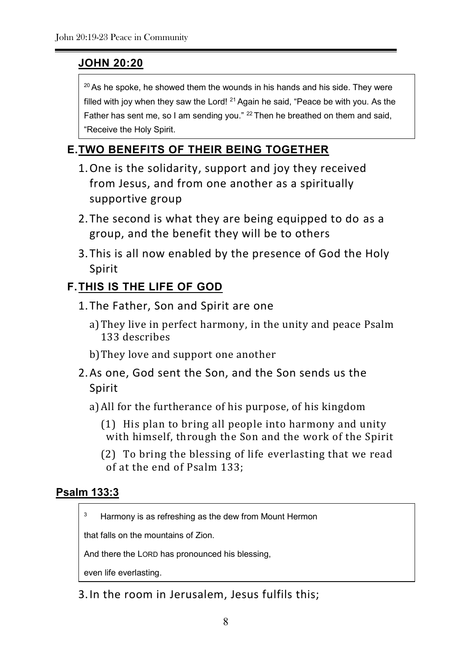#### **JOHN 20:20**

 $20$  As he spoke, he showed them the wounds in his hands and his side. They were filled with joy when they saw the Lord! <sup>21</sup> Again he said, "Peace be with you. As the Father has sent me, so I am sending you." <sup>22</sup> Then he breathed on them and said, "Receive the Holy Spirit.

## **E.TWO BENEFITS OF THEIR BEING TOGETHER**

- 1.One is the solidarity, support and joy they received from Jesus, and from one another as a spiritually supportive group
- 2.The second is what they are being equipped to do as a group, and the benefit they will be to others
- 3.This is all now enabled by the presence of God the Holy Spirit

### **F.THIS IS THE LIFE OF GOD**

- 1.The Father, Son and Spirit are one
	- a)They live in perfect harmony, in the unity and peace Psalm 133 describes
	- b)They love and support one another
- 2.As one, God sent the Son, and the Son sends us the Spirit
	- a)All for the furtherance of his purpose, of his kingdom
		- (1) His plan to bring all people into harmony and unity with himself, through the Son and the work of the Spirit
		- (2) To bring the blessing of life everlasting that we read of at the end of Psalm 133;

#### **Psalm 133:3**

3 Harmony is as refreshing as the dew from Mount Hermon

that falls on the mountains of Zion.

And there the LORD has pronounced his blessing,

even life everlasting.

3.In the room in Jerusalem, Jesus fulfils this;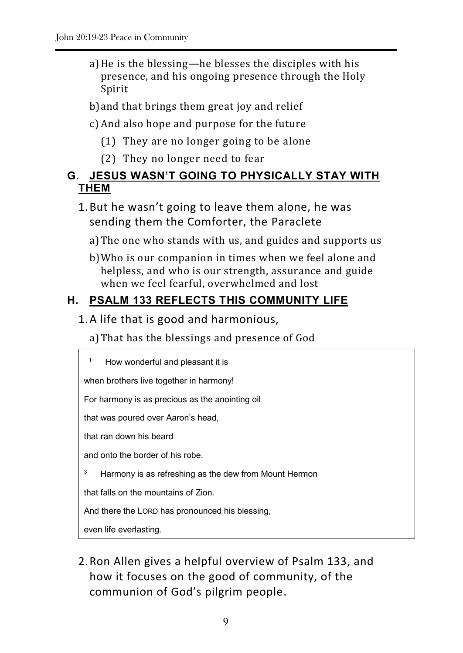- a)He is the blessing—he blesses the disciples with his presence, and his ongoing presence through the Holy Spirit
- b)and that brings them great joy and relief
- c) And also hope and purpose for the future
	- (1) They are no longer going to be alone
	- (2) They no longer need to fear

#### **G. JESUS WASN'T GOING TO PHYSICALLY STAY WITH THEM**

1.But he wasn't going to leave them alone, he was sending them the Comforter, the Paraclete

a)The one who stands with us, and guides and supports us

b)Who is our companion in times when we feel alone and helpless, and who is our strength, assurance and guide when we feel fearful, overwhelmed and lost

#### **H. PSALM 133 REFLECTS THIS COMMUNITY LIFE**

1.A life that is good and harmonious,

a)That has the blessings and presence of God

1 How wonderful and pleasant it is when brothers live together in harmony! For harmony is as precious as the anointing oil that was poured over Aaron's head, that ran down his beard and onto the border of his robe. 3 Harmony is as refreshing as the dew from Mount Hermon that falls on the mountains of Zion. And there the LORD has pronounced his blessing, even life everlasting.

2.Ron Allen gives a helpful overview of Psalm 133, and how it focuses on the good of community, of the communion of God's pilgrim people.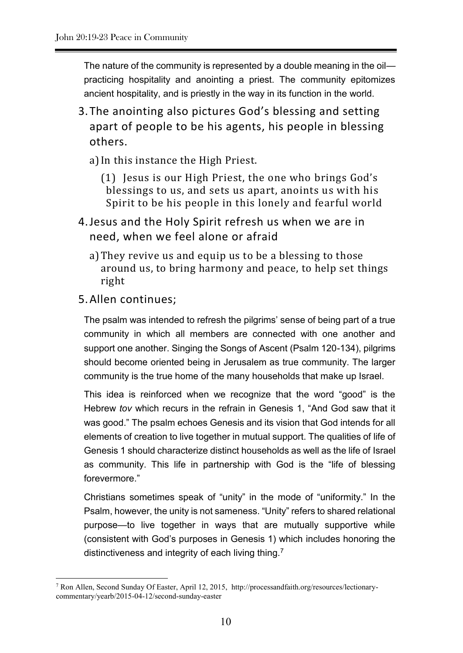The nature of the community is represented by a double meaning in the oil practicing hospitality and anointing a priest. The community epitomizes ancient hospitality, and is priestly in the way in its function in the world.

- 3.The anointing also pictures God's blessing and setting apart of people to be his agents, his people in blessing others.
	- a)In this instance the High Priest.
		- (1) Jesus is our High Priest, the one who brings God's blessings to us, and sets us apart, anoints us with his Spirit to be his people in this lonely and fearful world
- 4.Jesus and the Holy Spirit refresh us when we are in need, when we feel alone or afraid
	- a)They revive us and equip us to be a blessing to those around us, to bring harmony and peace, to help set things right

#### 5.Allen continues;

-

The psalm was intended to refresh the pilgrims' sense of being part of a true community in which all members are connected with one another and support one another. Singing the Songs of Ascent (Psalm 120-134), pilgrims should become oriented being in Jerusalem as true community. The larger community is the true home of the many households that make up Israel.

This idea is reinforced when we recognize that the word "good" is the Hebrew *tov* which recurs in the refrain in Genesis 1, "And God saw that it was good." The psalm echoes Genesis and its vision that God intends for all elements of creation to live together in mutual support. The qualities of life of Genesis 1 should characterize distinct households as well as the life of Israel as community. This life in partnership with God is the "life of blessing forevermore."

Christians sometimes speak of "unity" in the mode of "uniformity." In the Psalm, however, the unity is not sameness. "Unity" refers to shared relational purpose—to live together in ways that are mutually supportive while (consistent with God's purposes in Genesis 1) which includes honoring the distinctiveness and integrity of each living thing.<sup>7</sup>

<sup>7</sup> Ron Allen, Second Sunday Of Easter, April 12, 2015, [http://processandfaith.org/resources/lectionary](http://processandfaith.org/resources/lectionary-commentary/yearb/2015-04-12/second-sunday-easter)[commentary/yearb/2015-04-12/second-sunday-easter](http://processandfaith.org/resources/lectionary-commentary/yearb/2015-04-12/second-sunday-easter)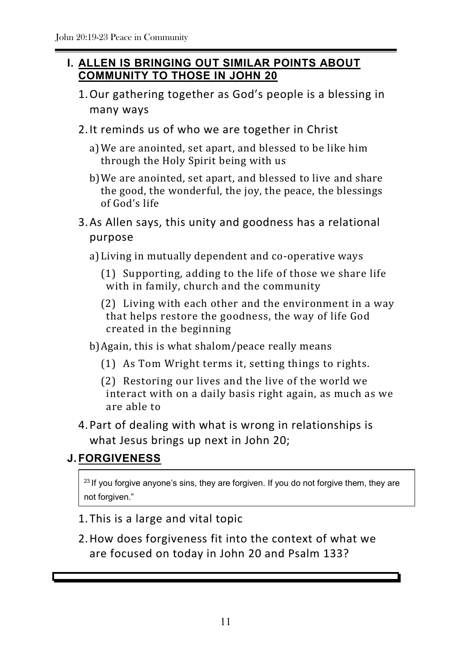## **I. ALLEN IS BRINGING OUT SIMILAR POINTS ABOUT COMMUNITY TO THOSE IN JOHN 20**

- 1.Our gathering together as God's people is a blessing in many ways
- 2.It reminds us of who we are together in Christ
	- a)We are anointed, set apart, and blessed to be like him through the Holy Spirit being with us
	- b)We are anointed, set apart, and blessed to live and share the good, the wonderful, the joy, the peace, the blessings of God's life
- 3.As Allen says, this unity and goodness has a relational purpose
	- a)Living in mutually dependent and co-operative ways
		- (1) Supporting, adding to the life of those we share life with in family, church and the community
		- (2) Living with each other and the environment in a way that helps restore the goodness, the way of life God created in the beginning
	- b)Again, this is what shalom/peace really means
		- (1) As Tom Wright terms it, setting things to rights.
		- (2) Restoring our lives and the live of the world we interact with on a daily basis right again, as much as we are able to
- 4.Part of dealing with what is wrong in relationships is what Jesus brings up next in John 20;

## **J. FORGIVENESS**

<sup>23</sup> If you forgive anyone's sins, they are forgiven. If you do not forgive them, they are not forgiven."

- 1.This is a large and vital topic
- 2.How does forgiveness fit into the context of what we are focused on today in John 20 and Psalm 133?